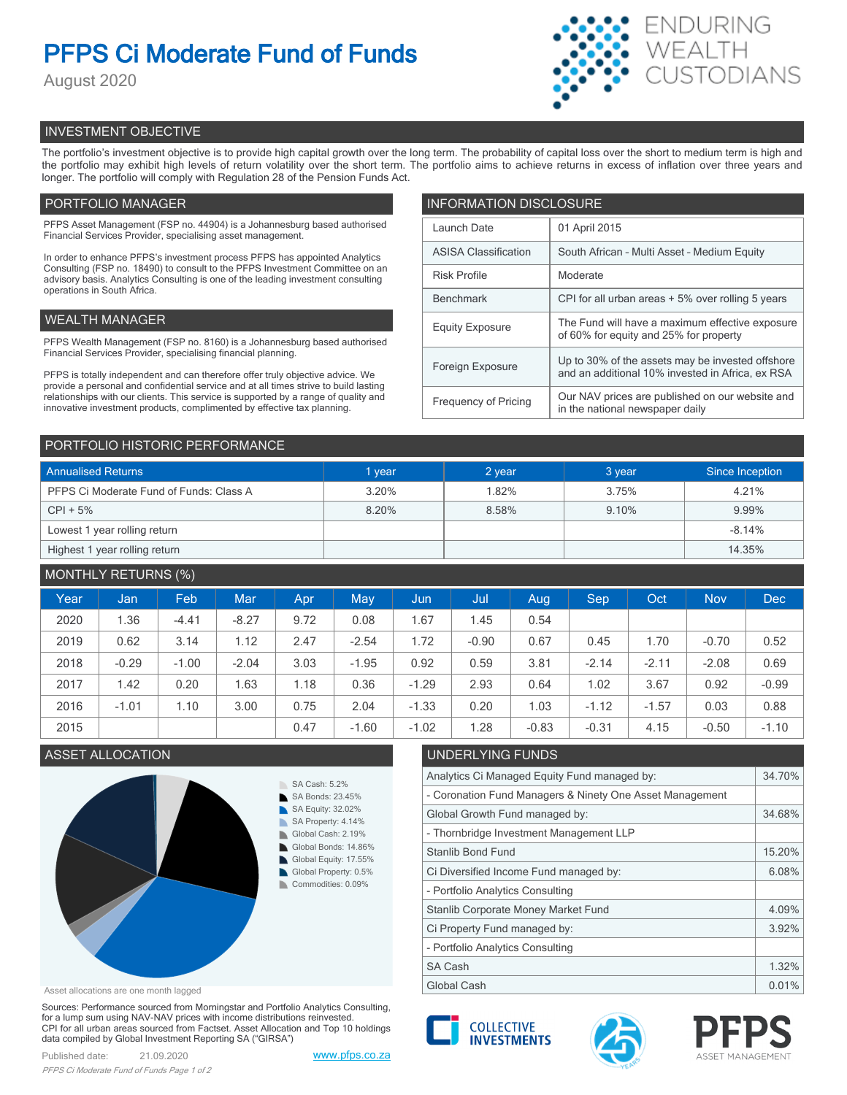# **PFPS Ci Moderate Fund of Funds**

August 2020



## INVESTMENT OBJECTIVE

The portfolio's investment objective is to provide high capital growth over the long term. The probability of capital loss over the short to medium term is high and the portfolio may exhibit high levels of return volatility over the short term. The portfolio aims to achieve returns in excess of inflation over three years and longer. The portfolio will comply with Regulation 28 of the Pension Funds Act.

## PORTFOLIO MANAGER

PFPS Asset Management (FSP no. 44904) is a Johannesburg based authorised Financial Services Provider, specialising asset management.

In order to enhance PFPS's investment process PFPS has appointed Analytics Consulting (FSP no. 18490) to consult to the PFPS Investment Committee on an advisory basis. Analytics Consulting is one of the leading investment consulting operations in South Africa.

## WEALTH MANAGER

PFPS Wealth Management (FSP no. 8160) is a Johannesburg based authorised Financial Services Provider, specialising financial planning.

PFPS is totally independent and can therefore offer truly objective advice. We provide a personal and confidential service and at all times strive to build lasting relationships with our clients. This service is supported by a range of quality and innovative investment products, complimented by effective tax planning.

| <b>INFORMATION DISCLOSURE</b> |                                                                                                      |  |  |  |
|-------------------------------|------------------------------------------------------------------------------------------------------|--|--|--|
| Launch Date                   | 01 April 2015                                                                                        |  |  |  |
| <b>ASISA Classification</b>   | South African - Multi Asset - Medium Equity                                                          |  |  |  |
| <b>Risk Profile</b>           | Moderate                                                                                             |  |  |  |
| <b>Benchmark</b>              | CPI for all urban areas + 5% over rolling 5 years                                                    |  |  |  |
| <b>Equity Exposure</b>        | The Fund will have a maximum effective exposure<br>of 60% for equity and 25% for property            |  |  |  |
| Foreign Exposure              | Up to 30% of the assets may be invested offshore<br>and an additional 10% invested in Africa, ex RSA |  |  |  |
| <b>Frequency of Pricing</b>   | Our NAV prices are published on our website and<br>in the national newspaper daily                   |  |  |  |

### PORTFOLIO HISTORIC PERFORMANCE

| <b>Annualised Returns</b>               | 1 year | 2 year | 3 year | Since Inception |
|-----------------------------------------|--------|--------|--------|-----------------|
| PFPS Ci Moderate Fund of Funds: Class A | 3.20%  | 1.82%  | 3.75%  | 4.21%           |
| $CPI + 5%$                              | 8.20%  | 8.58%  | 9.10%  | 9.99%           |
| Lowest 1 year rolling return            |        |        |        | $-8.14%$        |
| Highest 1 year rolling return           |        |        |        | 14.35%          |

## MONTHLY RETURNS (%)

| Year | Jan     | Feb.    | <b>Mar</b> | Apr. | May     | Jun     | Jul     | Aug     | <b>Sep</b> | Oct     | <b>Nov</b> | <b>Dec</b> |
|------|---------|---------|------------|------|---------|---------|---------|---------|------------|---------|------------|------------|
| 2020 | 1.36    | $-4.41$ | $-8.27$    | 9.72 | 0.08    | 1.67    | 1.45    | 0.54    |            |         |            |            |
| 2019 | 0.62    | 3.14    | 1.12       | 2.47 | $-2.54$ | 1.72    | $-0.90$ | 0.67    | 0.45       | 1.70    | $-0.70$    | 0.52       |
| 2018 | $-0.29$ | $-1.00$ | $-2.04$    | 3.03 | $-1.95$ | 0.92    | 0.59    | 3.81    | $-2.14$    | $-2.11$ | $-2.08$    | 0.69       |
| 2017 | 1.42    | 0.20    | 1.63       | 1.18 | 0.36    | $-1.29$ | 2.93    | 0.64    | 1.02       | 3.67    | 0.92       | $-0.99$    |
| 2016 | $-1.01$ | 1.10    | 3.00       | 0.75 | 2.04    | $-1.33$ | 0.20    | 1.03    | $-1.12$    | $-1.57$ | 0.03       | 0.88       |
| 2015 |         |         |            | 0.47 | $-1.60$ | $-1.02$ | 1.28    | $-0.83$ | $-0.31$    | 4.15    | $-0.50$    | $-1.10$    |

## ASSET ALLOCATION UNDERLYING FUNDS



Asset allocations are one month lagged

Sources: Performance sourced from Morningstar and Portfolio Analytics Consulting, for a lump sum using NAV-NAV prices with income distributions reinvested. CPI for all urban areas sourced from Factset. Asset Allocation and Top 10 holdings data compiled by Global Investment Reporting SA ("GIRSA")

## Analytics  $C_1 M$ ,  $C_2 M$ ,  $C_3 M$ ,  $C_4 M$ ,  $C_5 M$ ,  $C_6 M$ ,  $C_7 M$ ,  $C_8 M$ ,  $C_9 M$ ,  $C_9 M$ ,  $C_9 M$ ,  $C_9 M$ ,  $C_9 M$ ,  $C_9 M$ ,  $C_9 M$ ,  $C_9 M$ ,  $C_9 M$ ,  $C_9 M$ ,  $C_9 M$ ,  $C_9 M$ ,  $C_9 M$ ,  $C_9 M$ ,  $C_9 M$ ,  $C_9 M$ ,  $C_9 M$ ,  $C_9 M$ ,  $C_$

| Analytics Ci Managed Equity Fund managed by:             |       |  |  |
|----------------------------------------------------------|-------|--|--|
| - Coronation Fund Managers & Ninety One Asset Management |       |  |  |
| Global Growth Fund managed by:                           |       |  |  |
| - Thornbridge Investment Management LLP                  |       |  |  |
| <b>Stanlib Bond Fund</b>                                 |       |  |  |
| Ci Diversified Income Fund managed by:                   |       |  |  |
| - Portfolio Analytics Consulting                         |       |  |  |
| Stanlib Corporate Money Market Fund                      |       |  |  |
| Ci Property Fund managed by:                             |       |  |  |
| - Portfolio Analytics Consulting                         |       |  |  |
| SA Cash                                                  | 1.32% |  |  |
| Global Cash                                              |       |  |  |